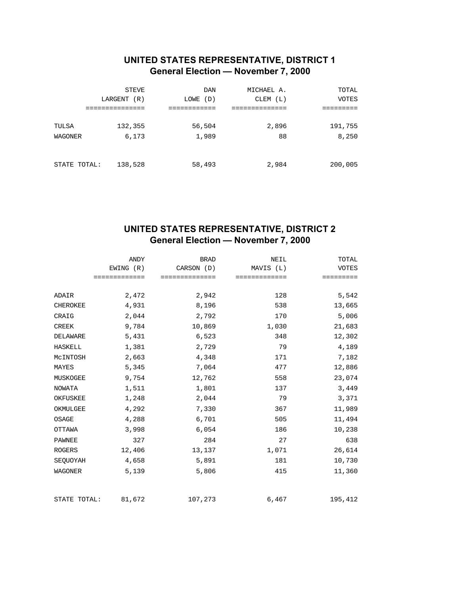### **UNITED STATES REPRESENTATIVE, DISTRICT 1 General Election — November 7, 2000**

|              | STEVE       | <b>DAN</b>  | MICHAEL A. | TOTAL   |
|--------------|-------------|-------------|------------|---------|
|              | LARGENT (R) | (D)<br>LOWE | CLEM (L)   | VOTES   |
|              |             |             |            |         |
| TULSA        | 132,355     | 56,504      | 2,896      | 191,755 |
| WAGONER      | 6,173       | 1,989       | 88         | 8,250   |
|              |             |             |            |         |
| STATE TOTAL: | 138,528     | 58,493      | 2,984      | 200,005 |

### **UNITED STATES REPRESENTATIVE, DISTRICT 2 General Election — November 7, 2000**

|                 |               | ANDY   |              | <b>BRAD</b> |              | NEIL  | TOTAL        |
|-----------------|---------------|--------|--------------|-------------|--------------|-------|--------------|
|                 | EWING (R)     |        | CARSON (D)   |             | MAVIS (L)    |       | <b>VOTES</b> |
|                 | ============= |        | ============ |             | ============ |       | =========    |
|                 |               |        |              |             |              |       |              |
| ADAIR           |               | 2,472  |              | 2,942       |              | 128   | 5,542        |
| <b>CHEROKEE</b> |               | 4,931  |              | 8,196       |              | 538   | 13,665       |
| CRAIG           |               | 2,044  |              | 2,792       |              | 170   | 5,006        |
| CREEK           |               | 9,784  |              | 10,869      |              | 1,030 | 21,683       |
| DELAWARE        |               | 5,431  |              | 6,523       |              | 348   | 12,302       |
| <b>HASKELL</b>  |               | 1,381  |              | 2,729       |              | 79    | 4,189        |
| MCINTOSH        |               | 2,663  |              | 4,348       |              | 171   | 7,182        |
| MAYES           |               | 5,345  |              | 7,064       |              | 477   | 12,886       |
| MUSKOGEE        |               | 9,754  |              | 12,762      |              | 558   | 23,074       |
| <b>NOWATA</b>   |               | 1,511  |              | 1,801       |              | 137   | 3,449        |
| OKFUSKEE        |               | 1,248  |              | 2,044       |              | 79    | 3,371        |
| OKMULGEE        |               | 4,292  |              | 7,330       |              | 367   | 11,989       |
| OSAGE           |               | 4,288  |              | 6,701       |              | 505   | 11,494       |
| OTTAWA          |               | 3,998  |              | 6,054       |              | 186   | 10,238       |
| PAWNEE          |               | 327    |              | 284         |              | 27    | 638          |
| <b>ROGERS</b>   |               | 12,406 |              | 13,137      |              | 1,071 | 26,614       |
| SEQUOYAH        |               | 4,658  |              | 5,891       |              | 181   | 10,730       |
| WAGONER         |               | 5,139  |              | 5,806       |              | 415   | 11,360       |
| STATE TOTAL:    |               | 81,672 | 107,273      |             |              | 6,467 | 195,412      |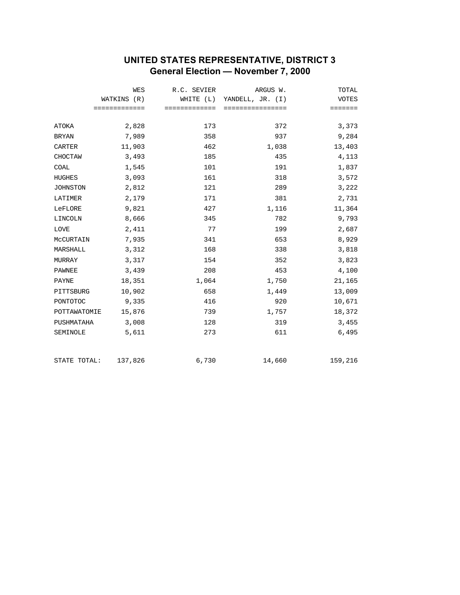# **UNITED STATES REPRESENTATIVE, DISTRICT 3 General Election — November 7, 2000**

|                 | <b>WES</b>    | R.C. SEVIER   | ARGUS W.                   | TOTAL        |
|-----------------|---------------|---------------|----------------------------|--------------|
|                 | WATKINS (R)   |               | WHITE (L) YANDELL, JR. (I) | <b>VOTES</b> |
|                 | ============= | ============= | ================           | =======      |
| ATOKA           | 2,828         | 173           | 372                        | 3,373        |
| <b>BRYAN</b>    | 7,989         | 358           | 937                        | 9,284        |
| <b>CARTER</b>   | 11,903        | 462           | 1,038                      | 13,403       |
| CHOCTAW         | 3,493         | 185           | 435                        | 4,113        |
| COAL            | 1,545         | 101           | 191                        | 1,837        |
| <b>HUGHES</b>   | 3,093         | 161           | 318                        | 3,572        |
| <b>JOHNSTON</b> | 2,812         | 121           | 289                        | 3,222        |
| LATIMER         | 2,179         | 171           | 381                        | 2,731        |
| LeFLORE         | 9,821         | 427           | 1,116                      | 11,364       |
| LINCOLN         | 8,666         | 345           | 782                        | 9,793        |
| <b>LOVE</b>     | 2,411         | 77            | 199                        | 2,687        |
| MCCURTAIN       | 7,935         | 341           | 653                        | 8,929        |
| MARSHALL        | 3,312         | 168           | 338                        | 3,818        |
| MURRAY          | 3,317         | 154           | 352                        | 3,823        |
| PAWNEE          | 3,439         | 208           | 453                        | 4,100        |
| PAYNE           | 18,351        | 1,064         | 1,750                      | 21,165       |
| PITTSBURG       | 10,902        | 658           | 1,449                      | 13,009       |
| PONTOTOC        | 9,335         | 416           | 920                        | 10,671       |
| POTTAWATOMIE    | 15,876        | 739           | 1,757                      | 18,372       |
| PUSHMATAHA      | 3,008         | 128           | 319                        | 3,455        |
| SEMINOLE        | 5,611         | 273           | 611                        | 6,495        |
| STATE TOTAL:    | 137,826       | 6,730         | 14,660                     | 159,216      |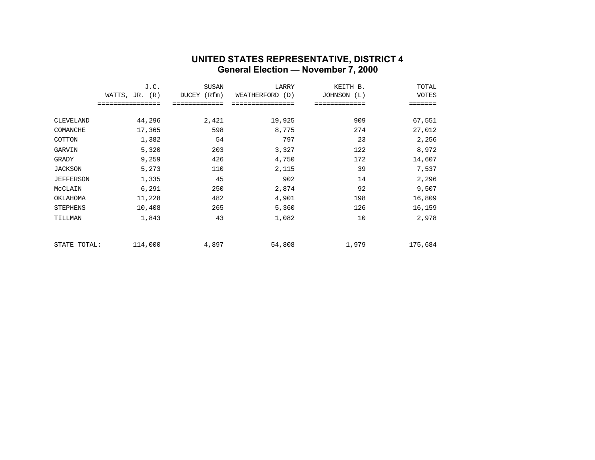#### **UNITED STATES REPRESENTATIVE, DISTRICT 4 General Election — November 7, 2000**

|                  | J.C.             | <b>SUSAN</b> | LARRY           | KEITH B.       | TOTAL   |
|------------------|------------------|--------------|-----------------|----------------|---------|
|                  | WATTS, $JR. (R)$ | DUCEY (Rfm)  | WEATHERFORD (D) | JOHNSON<br>(L) | VOTES   |
|                  | ==============   |              |                 |                | ======  |
|                  |                  |              |                 |                |         |
| CLEVELAND        | 44,296           | 2,421        | 19,925          | 909            | 67,551  |
| COMANCHE         | 17,365           | 598          | 8,775           | 274            | 27,012  |
| COTTON           | 1,382            | 54           | 797             | 23             | 2,256   |
| GARVIN           | 5,320            | 203          | 3,327           | 122            | 8,972   |
| GRADY            | 9,259            | 426          | 4,750           | 172            | 14,607  |
| <b>JACKSON</b>   | 5,273            | 110          | 2,115           | 39             | 7,537   |
| <b>JEFFERSON</b> | 1,335            | 45           | 902             | 14             | 2,296   |
| MCCLAIN          | 6,291            | 250          | 2,874           | 92             | 9,507   |
| OKLAHOMA         | 11,228           | 482          | 4,901           | 198            | 16,809  |
| <b>STEPHENS</b>  | 10,408           | 265          | 5,360           | 126            | 16,159  |
| TILLMAN          | 1,843            | 43           | 1,082           | 10             | 2,978   |
| STATE TOTAL:     | 114,000          | 4,897        | 54,808          | 1,979          | 175,684 |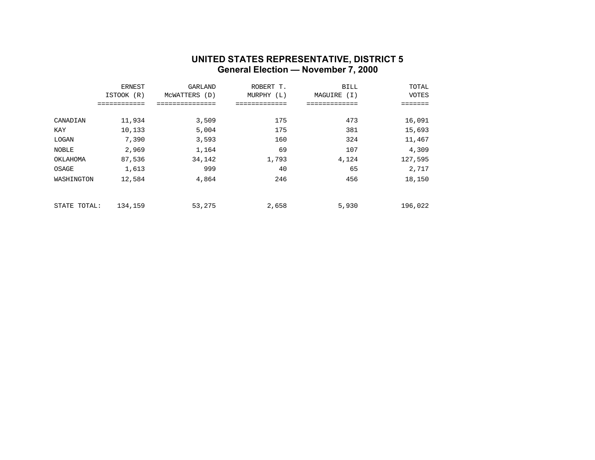#### **UNITED STATES REPRESENTATIVE, DISTRICT 5 General Election — November 7, 2000**

|              | <b>ERNEST</b> | GARLAND          | ROBERT T.  | <b>BILL</b>    | TOTAL   |
|--------------|---------------|------------------|------------|----------------|---------|
|              | ISTOOK (R)    | MCWATTERS<br>(D) | MURPHY (L) | MAGUIRE<br>(I) | VOTES   |
|              | ==========    | ------------     |            | .              | ======  |
| CANADIAN     | 11,934        | 3,509            | 175        | 473            | 16,091  |
| KAY          | 10,133        | 5,004            | 175        | 381            | 15,693  |
| LOGAN        | 7,390         | 3,593            | 160        | 324            | 11,467  |
| NOBLE        | 2,969         | 1,164            | 69         | 107            | 4,309   |
| OKLAHOMA     | 87,536        | 34,142           | 1,793      | 4,124          | 127,595 |
| OSAGE        | 1,613         | 999              | 40         | 65             | 2,717   |
| WASHINGTON   | 12,584        | 4,864            | 246        | 456            | 18,150  |
|              |               |                  |            |                |         |
| STATE TOTAL: | 134,159       | 53,275           | 2,658      | 5,930          | 196,022 |